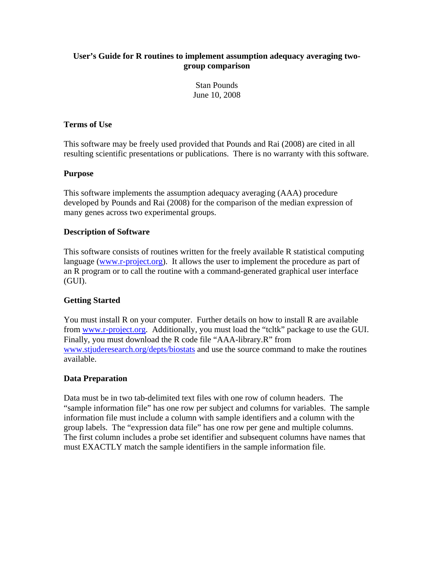## **User's Guide for R routines to implement assumption adequacy averaging twogroup comparison**

Stan Pounds June 10, 2008

#### **Terms of Use**

This software may be freely used provided that Pounds and Rai (2008) are cited in all resulting scientific presentations or publications. There is no warranty with this software.

### **Purpose**

This software implements the assumption adequacy averaging (AAA) procedure developed by Pounds and Rai (2008) for the comparison of the median expression of many genes across two experimental groups.

# **Description of Software**

This software consists of routines written for the freely available R statistical computing language [\(www.r-project.org\)](http://www.r-project.org/). It allows the user to implement the procedure as part of an R program or to call the routine with a command-generated graphical user interface (GUI).

# **Getting Started**

You must install R on your computer. Further details on how to install R are available from [www.r-project.org.](http://www.r-project.org/) Additionally, you must load the "tcltk" package to use the GUI. Finally, you must download the R code file "AAA-library.R" from [www.stjuderesearch.org/depts/biostats](http://www.stjuderesearch.org/depts/biostats) and use the source command to make the routines available.

#### **Data Preparation**

Data must be in two tab-delimited text files with one row of column headers. The "sample information file" has one row per subject and columns for variables. The sample information file must include a column with sample identifiers and a column with the group labels. The "expression data file" has one row per gene and multiple columns. The first column includes a probe set identifier and subsequent columns have names that must EXACTLY match the sample identifiers in the sample information file.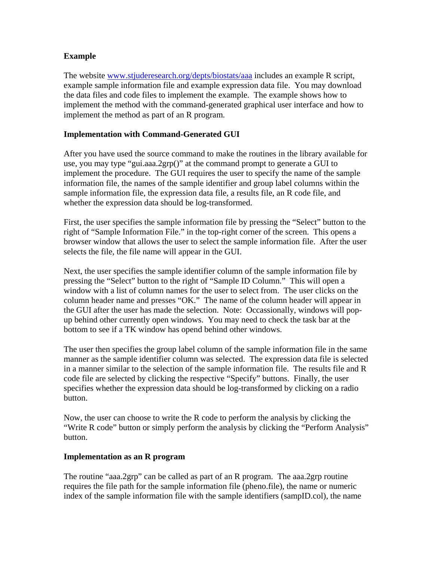# **Example**

The website [www.stjuderesearch.org/depts/biostats/aaa](http://www.stjuderesearch.org/depts/biostats/aaa) includes an example R script, example sample information file and example expression data file. You may download the data files and code files to implement the example. The example shows how to implement the method with the command-generated graphical user interface and how to implement the method as part of an R program.

## **Implementation with Command-Generated GUI**

After you have used the source command to make the routines in the library available for use, you may type "gui.aaa.2grp()" at the command prompt to generate a GUI to implement the procedure. The GUI requires the user to specify the name of the sample information file, the names of the sample identifier and group label columns within the sample information file, the expression data file, a results file, an R code file, and whether the expression data should be log-transformed.

First, the user specifies the sample information file by pressing the "Select" button to the right of "Sample Information File." in the top-right corner of the screen. This opens a browser window that allows the user to select the sample information file. After the user selects the file, the file name will appear in the GUI.

Next, the user specifies the sample identifier column of the sample information file by pressing the "Select" button to the right of "Sample ID Column." This will open a window with a list of column names for the user to select from. The user clicks on the column header name and presses "OK." The name of the column header will appear in the GUI after the user has made the selection. Note: Occassionally, windows will popup behind other currently open windows. You may need to check the task bar at the bottom to see if a TK window has opend behind other windows.

The user then specifies the group label column of the sample information file in the same manner as the sample identifier column was selected. The expression data file is selected in a manner similar to the selection of the sample information file. The results file and R code file are selected by clicking the respective "Specify" buttons. Finally, the user specifies whether the expression data should be log-transformed by clicking on a radio button.

Now, the user can choose to write the R code to perform the analysis by clicking the "Write R code" button or simply perform the analysis by clicking the "Perform Analysis" button.

#### **Implementation as an R program**

The routine "aaa.2grp" can be called as part of an R program. The aaa.2grp routine requires the file path for the sample information file (pheno.file), the name or numeric index of the sample information file with the sample identifiers (sampID.col), the name